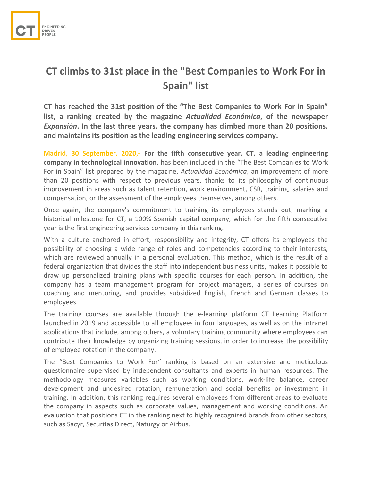

## **CT climbs to 31st place in the "Best Companies to Work For in Spain" list**

**CT has reached the 31st position of the "The Best Companies to Work For in Spain" list, a ranking created by the magazine** *Actualidad Económica***, of the newspaper**  *Expansión***. In the last three years, the company has climbed more than 20 positions, and maintains its position as the leading engineering services company.** 

**Madrid, 30 September, 2020,- For the fifth consecutive year, CT, a leading engineering company in technological innovation**, has been included in the "The Best Companies to Work For in Spain" list prepared by the magazine, *Actualidad Económica*, an improvement of more than 20 positions with respect to previous years, thanks to its philosophy of continuous improvement in areas such as talent retention, work environment, CSR, training, salaries and compensation, or the assessment of the employees themselves, among others.

Once again, the company's commitment to training its employees stands out, marking a historical milestone for CT, a 100% Spanish capital company, which for the fifth consecutive year is the first engineering services company in this ranking.

With a culture anchored in effort, responsibility and integrity, CT offers its employees the possibility of choosing a wide range of roles and competencies according to their interests, which are reviewed annually in a personal evaluation. This method, which is the result of a federal organization that divides the staff into independent business units, makes it possible to draw up personalized training plans with specific courses for each person. In addition, the company has a team management program for project managers, a series of courses on coaching and mentoring, and provides subsidized English, French and German classes to employees.

The training courses are available through the e-learning platform CT Learning Platform launched in 2019 and accessible to all employees in four languages, as well as on the intranet applications that include, among others, a voluntary training community where employees can contribute their knowledge by organizing training sessions, in order to increase the possibility of employee rotation in the company.

The "Best Companies to Work For" ranking is based on an extensive and meticulous questionnaire supervised by independent consultants and experts in human resources. The methodology measures variables such as working conditions, work-life balance, career development and undesired rotation, remuneration and social benefits or investment in training. In addition, this ranking requires several employees from different areas to evaluate the company in aspects such as corporate values, management and working conditions. An evaluation that positions CT in the ranking next to highly recognized brands from other sectors, such as Sacyr, Securitas Direct, Naturgy or Airbus.